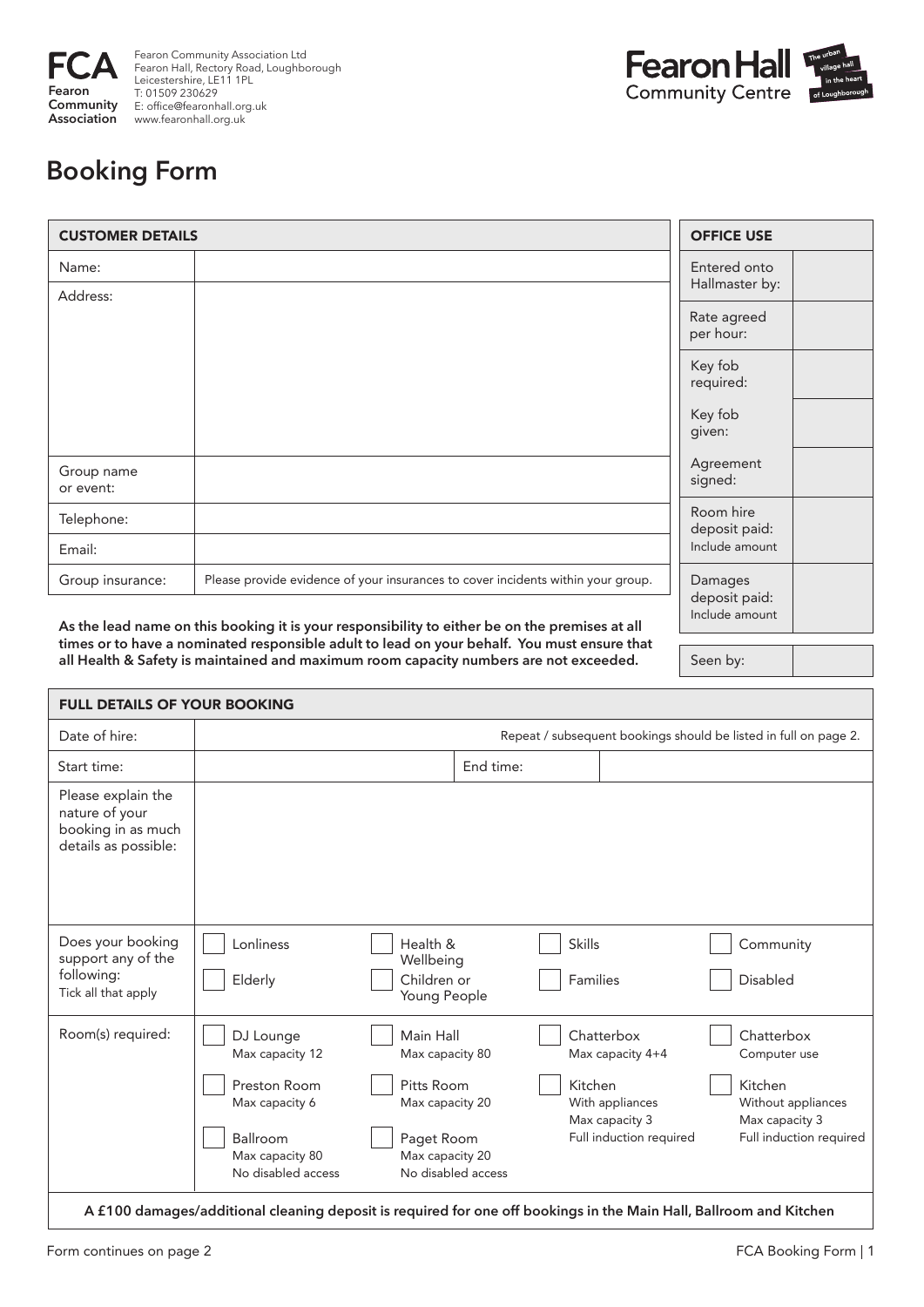

Fearon Community Association Ltd Fearon Hall, Rectory Road, Loughborough Leicestershire, LE11 1PL T: 01509 230629 E: office@fearonhall.org.uk www.fearonhall.org.uk



Seen by:

## **Booking Form**

| <b>CUSTOMER DETAILS</b> |                                                                                       | <b>OFFICE USE</b>                          |  |
|-------------------------|---------------------------------------------------------------------------------------|--------------------------------------------|--|
| Name:<br>Address:       |                                                                                       | Entered onto<br>Hallmaster by:             |  |
|                         |                                                                                       | Rate agreed<br>per hour:                   |  |
|                         |                                                                                       | Key fob<br>required:                       |  |
|                         |                                                                                       | Key fob<br>given:                          |  |
| Group name<br>or event: |                                                                                       | Agreement<br>signed:                       |  |
| Telephone:              |                                                                                       | Room hire<br>deposit paid:                 |  |
| Email:                  |                                                                                       | Include amount                             |  |
| Group insurance:        | Please provide evidence of your insurances to cover incidents within your group.<br>. | Damages<br>deposit paid:<br>Include amount |  |

**As the lead name on this booking it is your responsibility to either be on the premises at all times or to have a nominated responsible adult to lead on your behalf. You must ensure that all Health & Safety is maintained and maximum room capacity numbers are not exceeded.**

| <b>FULL DETAILS OF YOUR BOOKING</b>                                                |                                                                                                                     |                                                                                                |                    |                                                                                                           |                                                                                                          |
|------------------------------------------------------------------------------------|---------------------------------------------------------------------------------------------------------------------|------------------------------------------------------------------------------------------------|--------------------|-----------------------------------------------------------------------------------------------------------|----------------------------------------------------------------------------------------------------------|
| Date of hire:                                                                      | Repeat / subsequent bookings should be listed in full on page 2.                                                    |                                                                                                |                    |                                                                                                           |                                                                                                          |
| Start time:                                                                        |                                                                                                                     |                                                                                                | End time:          |                                                                                                           |                                                                                                          |
| Please explain the<br>nature of your<br>booking in as much<br>details as possible: |                                                                                                                     |                                                                                                |                    |                                                                                                           |                                                                                                          |
| Does your booking<br>support any of the<br>following:<br>Tick all that apply       | Lonliness<br>Elderly                                                                                                | Health &<br>Wellbeing<br>Children or<br>Young People                                           |                    | <b>Skills</b><br>Families                                                                                 | Community<br>Disabled                                                                                    |
| Room(s) required:                                                                  | DJ Lounge<br>Max capacity 12<br>Preston Room<br>Max capacity 6<br>Ballroom<br>Max capacity 80<br>No disabled access | Main Hall<br>Max capacity 80<br>Pitts Room<br>Max capacity 20<br>Paget Room<br>Max capacity 20 | No disabled access | Chatterbox<br>Max capacity 4+4<br>Kitchen<br>With appliances<br>Max capacity 3<br>Full induction required | Chatterbox<br>Computer use<br>Kitchen<br>Without appliances<br>Max capacity 3<br>Full induction required |
|                                                                                    | A £100 damages/additional cleaning deposit is required for one off bookings in the Main Hall, Ballroom and Kitchen  |                                                                                                |                    |                                                                                                           |                                                                                                          |